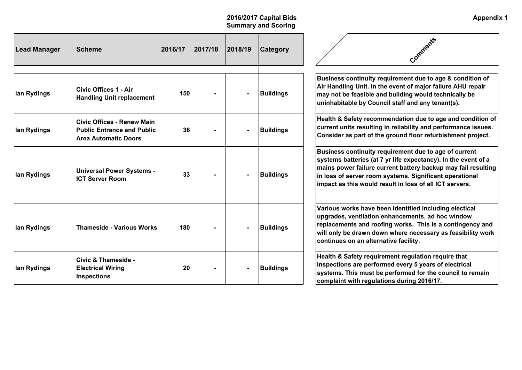| <b>Lead Manager</b> | <b>Scheme</b>                                                                                         | 2016/17 | 2017/18 | 2018/19 | <b>Category</b>  | Comments                                                                                                                                                                                                                                                                                                       |
|---------------------|-------------------------------------------------------------------------------------------------------|---------|---------|---------|------------------|----------------------------------------------------------------------------------------------------------------------------------------------------------------------------------------------------------------------------------------------------------------------------------------------------------------|
| lan Rydings         | <b>Civic Offices 1 - Air</b><br><b>Handling Unit replacement</b>                                      | 150     |         |         | <b>Buildings</b> | Business continuity requirement due to age & condition of<br>Air Handling Unit. In the event of major failure AHU repair<br>may not be feasible and building would technically be<br>uninhabitable by Council staff and any tenant(s).                                                                         |
| lan Rydings         | <b>Civic Offices - Renew Main</b><br><b>Public Entrance and Public</b><br><b>Area Automatic Doors</b> | 36      |         |         | <b>Buildings</b> | Health & Safety recommendation due to age and condition of<br>current units resulting in reliability and performance issues.<br>Consider as part of the ground floor refurbishment project.                                                                                                                    |
| lan Rydings         | <b>Universal Power Systems -</b><br><b>ICT Server Room</b>                                            | 33      |         |         | <b>Buildings</b> | Business continuity requirement due to age of current<br>systems batteries (at 7 yr life expectancy). In the event of a<br>mains power failure current battery backup may fail resulting<br>in loss of server room systems. Significant operational<br>impact as this would result in loss of all ICT servers. |
| lan Rydings         | <b>Thameside - Various Works</b>                                                                      | 180     |         |         | <b>Buildings</b> | Various works have been identified including electical<br>upgrades, ventilation enhancements, ad hoc window<br>replacements and roofing works. This is a contingency and<br>will only be drawn down where necessary as feasibility work<br>continues on an alternative facility.                               |
| lan Rydings         | <b>Civic &amp; Thameside -</b><br><b>Electrical Wiring</b><br>Inspections                             | 20      |         |         | <b>Buildings</b> | Health & Safety requirement regulation require that<br>inspections are performed every 5 years of electrical<br>systems. This must be performed for the council to remain<br>complaint with regulations during 2016/17.                                                                                        |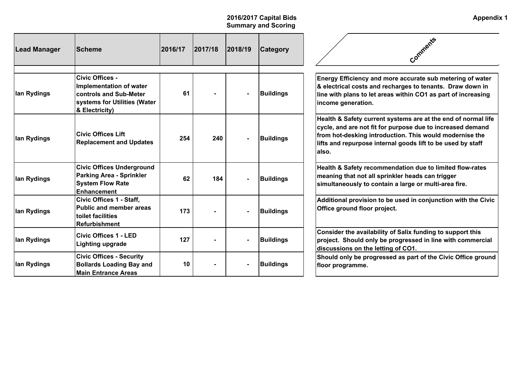| Lead Manager | <b>Scheme</b>                                                                                                                    | 2016/17 | 2017/18 | 2018/19 | <b>Category</b>  | Comments                                                                                                                                                                                                                                                        |
|--------------|----------------------------------------------------------------------------------------------------------------------------------|---------|---------|---------|------------------|-----------------------------------------------------------------------------------------------------------------------------------------------------------------------------------------------------------------------------------------------------------------|
| Ian Rydings  | Civic Offices -<br>Implementation of water<br><b>controls and Sub-Meter</b><br>systems for Utilities (Water<br>$ &$ Electricity) | 61      |         |         | <b>Buildings</b> | Energy Efficiency and more accurate sub metering of water<br>& electrical costs and recharges to tenants. Draw down in<br>line with plans to let areas within CO1 as part of increasing<br>income generation.                                                   |
| Ian Rydings  | <b>Civic Offices Lift</b><br><b>Replacement and Updates</b>                                                                      | 254     | 240     |         | <b>Buildings</b> | Health & Safety current systems are at the end of normal life<br>cycle, and are not fit for purpose due to increased demand<br>from hot-desking introduction. This would modernise the<br>lifts and repurpose internal goods lift to be used by staff<br>lalso. |
| lan Rydings  | <b>Civic Offices Underground</b><br><b>Parking Area - Sprinkler</b><br><b>System Flow Rate</b><br><b>Enhancement</b>             | 62      | 184     |         | <b>Buildings</b> | Health & Safety recommendation due to limited flow-rates<br>meaning that not all sprinkler heads can trigger<br>simultaneously to contain a large or multi-area fire.                                                                                           |
| lan Rydings  | Civic Offices 1 - Staff,<br><b>Public and member areas</b><br>toilet facilities<br>Refurbishment                                 | 173     |         |         | <b>Buildings</b> | Additional provision to be used in conjunction with the Civic<br>Office ground floor project.                                                                                                                                                                   |
| Ian Rydings  | <b>Civic Offices 1 - LED</b><br>Lighting upgrade                                                                                 | 127     |         |         | <b>Buildings</b> | Consider the availability of Salix funding to support this<br>project. Should only be progressed in line with commercial<br>discussions on the letting of CO1.                                                                                                  |
| Ian Rydings  | <b>Civic Offices - Security</b><br><b>Bollards Loading Bay and</b><br><b>Main Entrance Areas</b>                                 | 10      |         |         | <b>Buildings</b> | Should only be progressed as part of the Civic Office ground<br>floor programme.                                                                                                                                                                                |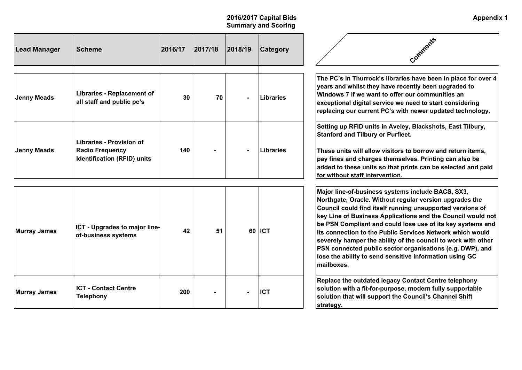| Lead Manager        | <b>Scheme</b>                                                                                   | 2016/17 | 2017/18 | 2018/19 | <b>Category</b>  | Comments                                                                                                                                                                                                                                                                                                                                                                                                                                                                                                                                                                    |
|---------------------|-------------------------------------------------------------------------------------------------|---------|---------|---------|------------------|-----------------------------------------------------------------------------------------------------------------------------------------------------------------------------------------------------------------------------------------------------------------------------------------------------------------------------------------------------------------------------------------------------------------------------------------------------------------------------------------------------------------------------------------------------------------------------|
| <b>Jenny Meads</b>  | <b>Libraries - Replacement of</b><br>all staff and public pc's                                  | 30      | 70      |         | <b>Libraries</b> | The PC's in Thurrock's libraries have been in place for over 4<br>years and whilst they have recently been upgraded to<br>Windows 7 if we want to offer our communities an<br>exceptional digital service we need to start considering<br>replacing our current PC's with newer updated technology.                                                                                                                                                                                                                                                                         |
| <b>Jenny Meads</b>  | <b>Libraries - Provision of</b><br><b>Radio Frequency</b><br><b>Identification (RFID) units</b> | 140     |         |         | Libraries        | Setting up RFID units in Aveley, Blackshots, East Tilbury,<br><b>Stanford and Tilbury or Purfleet.</b><br>These units will allow visitors to borrow and return items,<br>pay fines and charges themselves. Printing can also be<br>added to these units so that prints can be selected and paid<br>for without staff intervention.                                                                                                                                                                                                                                          |
| Murray James        | ICT - Upgrades to major line-<br>of-business systems                                            | 42      | 51      |         | 60 ICT           | Major line-of-business systems include BACS, SX3,<br>Northgate, Oracle. Without regular version upgrades the<br>Council could find itself running unsupported versions of<br>key Line of Business Applications and the Council would not<br>be PSN Compliant and could lose use of its key systems and<br>lits connection to the Public Services Network which would<br>severely hamper the ability of the council to work with other<br>PSN connected public sector organisations (e.g. DWP), and<br>lose the ability to send sensitive information using GC<br>mailboxes. |
| <b>Murray James</b> | <b>ICT - Contact Centre</b><br><b>Telephony</b>                                                 | 200     |         |         | <b>IICT</b>      | Replace the outdated legacy Contact Centre telephony<br>solution with a fit-for-purpose, modern fully supportable<br>solution that will support the Council's Channel Shift<br>strategy.                                                                                                                                                                                                                                                                                                                                                                                    |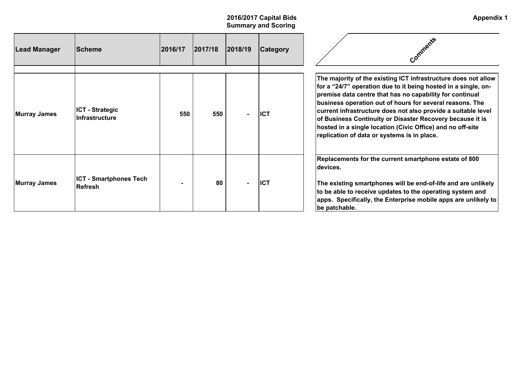| <b>Lead Manager</b> | <b>Scheme</b>                                   | 2016/17 | 2017/18 | 2018/19        | <b>Category</b> | Comments                                                                                                                                                                                                                                                                                                                                                                                                                                                                                            |
|---------------------|-------------------------------------------------|---------|---------|----------------|-----------------|-----------------------------------------------------------------------------------------------------------------------------------------------------------------------------------------------------------------------------------------------------------------------------------------------------------------------------------------------------------------------------------------------------------------------------------------------------------------------------------------------------|
| Murray James        | <b>ICT - Strategic</b><br><b>Infrastructure</b> | 550     | 550     | $\blacksquare$ | <b>ICT</b>      | The majority of the existing ICT infrastructure does not allow<br>for a "24/7" operation due to it being hosted in a single, on-<br>premise data centre that has no capability for continual<br>business operation out of hours for several reasons. The<br>current infrastructure does not also provide a suitable level<br>of Business Continuity or Disaster Recovery because it is<br>hosted in a single location (Civic Office) and no off-site<br>replication of data or systems is in place. |
| Murray James        | <b>ICT - Smartphones Tech</b><br><b>Refresh</b> |         | 80      | $\blacksquare$ | ICT             | Replacements for the current smartphone estate of 800<br>ldevices.<br>The existing smartphones will be end-of-life and are unlikely<br>to be able to receive updates to the operating system and<br>apps. Specifically, the Enterprise mobile apps are unlikely to<br>be patchable.                                                                                                                                                                                                                 |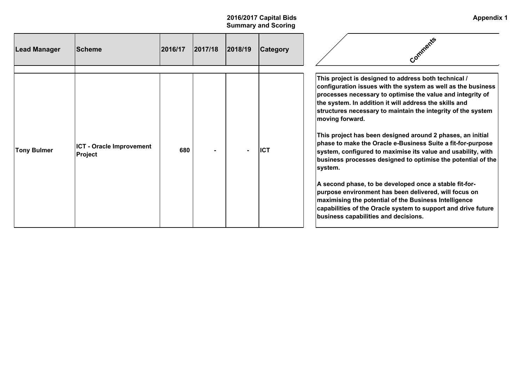| <b>Lead Manager</b> | <b>Scheme</b>                                     | 2016/17 | 2017/18 | 2018/19 | <b>Category</b> | Comments                                                                                                                                                                                                                                                                                                                                                                                                                                                                                                                                                                                                                                                                                                                                                                                                                                                                                     |
|---------------------|---------------------------------------------------|---------|---------|---------|-----------------|----------------------------------------------------------------------------------------------------------------------------------------------------------------------------------------------------------------------------------------------------------------------------------------------------------------------------------------------------------------------------------------------------------------------------------------------------------------------------------------------------------------------------------------------------------------------------------------------------------------------------------------------------------------------------------------------------------------------------------------------------------------------------------------------------------------------------------------------------------------------------------------------|
| <b>Tony Bulmer</b>  | <b>ICT - Oracle Improvement</b><br><b>Project</b> | 680     |         |         | <b>ICT</b>      | This project is designed to address both technical /<br>configuration issues with the system as well as the business<br>processes necessary to optimise the value and integrity of<br>the system. In addition it will address the skills and<br>structures necessary to maintain the integrity of the system<br>moving forward.<br>This project has been designed around 2 phases, an initial<br>phase to make the Oracle e-Business Suite a fit-for-purpose<br>system, configured to maximise its value and usability, with<br>business processes designed to optimise the potential of the<br>system.<br>A second phase, to be developed once a stable fit-for-<br>purpose environment has been delivered, will focus on<br>maximising the potential of the Business Intelligence<br>capabilities of the Oracle system to support and drive future<br>business capabilities and decisions. |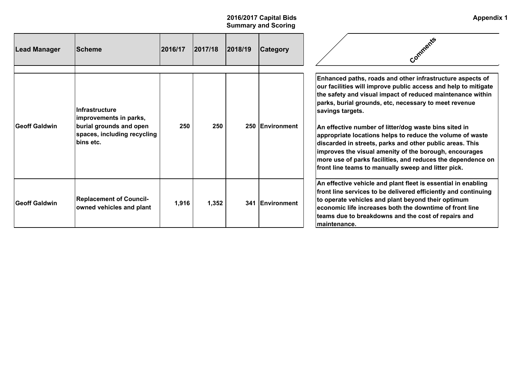| Lead Manager         | <b>Scheme</b>                                                                                                          | 2016/17 | 2017/18 | 2018/19 | <b>Category</b> | Comments                                                                                                                                                                                                                                                                                                                                                                                                                                                                                                                                                                                                                                 |
|----------------------|------------------------------------------------------------------------------------------------------------------------|---------|---------|---------|-----------------|------------------------------------------------------------------------------------------------------------------------------------------------------------------------------------------------------------------------------------------------------------------------------------------------------------------------------------------------------------------------------------------------------------------------------------------------------------------------------------------------------------------------------------------------------------------------------------------------------------------------------------------|
| <b>Geoff Galdwin</b> | Infrastructure<br>improvements in parks,<br>burial grounds and open<br>spaces, including recycling<br><b>bins</b> etc. | 250     | 250     |         | 250 Environment | Enhanced paths, roads and other infrastructure aspects of<br>our facilities will improve public access and help to mitigate<br>the safety and visual impact of reduced maintenance within<br>parks, burial grounds, etc, necessary to meet revenue<br>savings targets.<br>An effective number of litter/dog waste bins sited in<br>appropriate locations helps to reduce the volume of waste<br>discarded in streets, parks and other public areas. This<br>improves the visual amenity of the borough, encourages<br>more use of parks facilities, and reduces the dependence on<br>front line teams to manually sweep and litter pick. |
| <b>Geoff Galdwin</b> | <b>Replacement of Council-</b><br>owned vehicles and plant                                                             | 1,916   | 1,352   |         | 341 Environment | An effective vehicle and plant fleet is essential in enabling<br>front line services to be delivered efficiently and continuing<br>to operate vehicles and plant beyond their optimum<br>economic life increases both the downtime of front line<br>teams due to breakdowns and the cost of repairs and<br>lmaintenance.                                                                                                                                                                                                                                                                                                                 |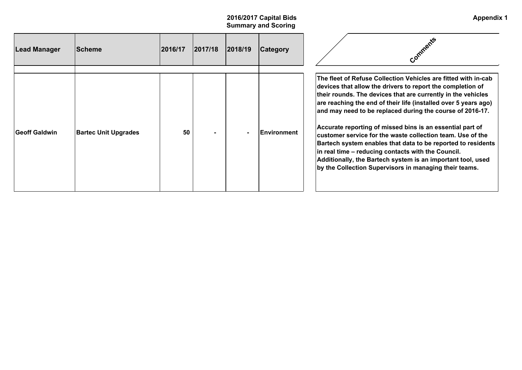| <b>Lead Manager</b>  | <b>Scheme</b>               | 2016/17 | 2017/18 | 2018/19 | <b>Category</b>     |                                                                                                                                                                                                                                                                                                                                                                                                                                                                                                                                                                                                                                                                                                        |
|----------------------|-----------------------------|---------|---------|---------|---------------------|--------------------------------------------------------------------------------------------------------------------------------------------------------------------------------------------------------------------------------------------------------------------------------------------------------------------------------------------------------------------------------------------------------------------------------------------------------------------------------------------------------------------------------------------------------------------------------------------------------------------------------------------------------------------------------------------------------|
| <b>Geoff Galdwin</b> | <b>Bartec Unit Upgrades</b> | 50      |         |         | <b>IEnvironment</b> | The fleet of Refuse Collection Vehicles are fitted with in-cab<br>devices that allow the drivers to report the completion of<br>their rounds. The devices that are currently in the vehicles<br>are reaching the end of their life (installed over 5 years ago)<br>and may need to be replaced during the course of 2016-17.<br>Accurate reporting of missed bins is an essential part of<br>customer service for the waste collection team. Use of the<br>Bartech system enables that data to be reported to residents<br>in real time – reducing contacts with the Council.<br>Additionally, the Bartech system is an important tool, used<br>by the Collection Supervisors in managing their teams. |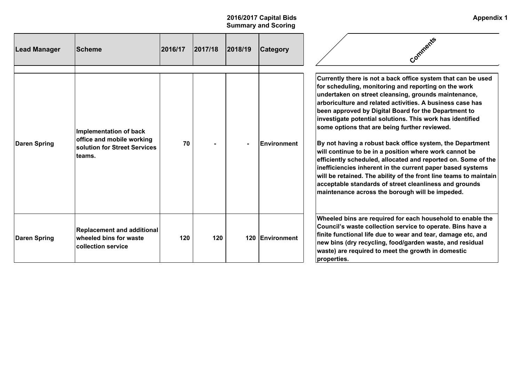| Lead Manager | <b>Scheme</b>                                                                                 | 2016/17 | 2017/18 | 2018/19 | <b>Category</b>     |                                                                                                                                                                                                                                                                                                                                                                                                                                                                                                                                                                                                                                                                                                                                                                                                                                                          |
|--------------|-----------------------------------------------------------------------------------------------|---------|---------|---------|---------------------|----------------------------------------------------------------------------------------------------------------------------------------------------------------------------------------------------------------------------------------------------------------------------------------------------------------------------------------------------------------------------------------------------------------------------------------------------------------------------------------------------------------------------------------------------------------------------------------------------------------------------------------------------------------------------------------------------------------------------------------------------------------------------------------------------------------------------------------------------------|
| Daren Spring | Implementation of back<br>office and mobile working<br>solution for Street Services<br>teams. | 70      |         |         | <b>IEnvironment</b> | Currently there is not a back office system that can be used<br>for scheduling, monitoring and reporting on the work<br>undertaken on street cleansing, grounds maintenance,<br> arboriculture and related activities. A business case has<br>been approved by Digital Board for the Department to<br>investigate potential solutions. This work has identified<br>some options that are being further reviewed.<br>By not having a robust back office system, the Department<br>will continue to be in a position where work cannot be<br>efficiently scheduled, allocated and reported on. Some of the<br>inefficiencies inherent in the current paper based systems<br>will be retained. The ability of the front line teams to maintain<br>acceptable standards of street cleanliness and grounds<br>maintenance across the borough will be impeded. |
| Daren Spring | <b>Replacement and additional</b><br>wheeled bins for waste<br>collection service             | 120     | 120     |         | 120 Environment     | Wheeled bins are required for each household to enable the<br>Council's waste collection service to operate. Bins have a<br>finite functional life due to wear and tear, damage etc, and<br>new bins (dry recycling, food/garden waste, and residual<br>waste) are required to meet the growth in domestic<br>properties.                                                                                                                                                                                                                                                                                                                                                                                                                                                                                                                                |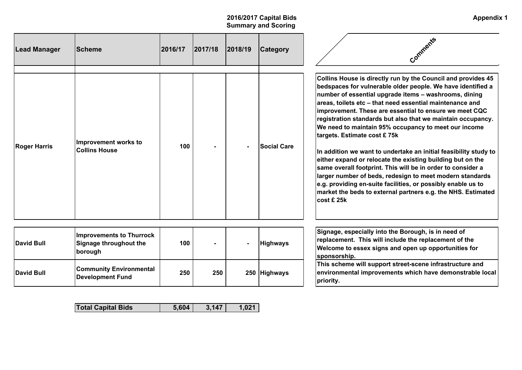# **2016/2017 Capital Bids Summary and Scoring**

| <b>Lead Manager</b> | <b>Scheme</b>                                | 2016/17 | 2017/18 | 2018/19 | <b>Category</b>    | Comments                                                                                                                                                                                                                                                                                                                                                                                                                                                                                                                                                                                                                                                                                                                                                                                                                                                                                            |
|---------------------|----------------------------------------------|---------|---------|---------|--------------------|-----------------------------------------------------------------------------------------------------------------------------------------------------------------------------------------------------------------------------------------------------------------------------------------------------------------------------------------------------------------------------------------------------------------------------------------------------------------------------------------------------------------------------------------------------------------------------------------------------------------------------------------------------------------------------------------------------------------------------------------------------------------------------------------------------------------------------------------------------------------------------------------------------|
| <b>Roger Harris</b> | Improvement works to<br><b>Collins House</b> | 100     |         |         | <b>Social Care</b> | Collins House is directly run by the Council and provides 45<br>bedspaces for vulnerable older people. We have identified a<br>number of essential upgrade items – washrooms, dining<br>areas, toilets etc – that need essential maintenance and<br>improvement. These are essential to ensure we meet CQC<br>registration standards but also that we maintain occupancy.<br>We need to maintain 95% occupancy to meet our income<br>targets. Estimate cost £75k<br>In addition we want to undertake an initial feasibility study to<br>either expand or relocate the existing building but on the<br>same overall footprint. This will be in order to consider a<br>larger number of beds, redesign to meet modern standards<br>$ \mathbf{e}.\mathbf{g} $ . providing en-suite facilities, or possibly enable us to<br>market the beds to external partners e.g. the NHS. Estimated<br>∣cost £ 25k |

| David Bull | <b>Improvements to Thurrock</b><br>Signage throughout the<br>borough | 100 | $\blacksquare$ | $\blacksquare$ | <b>Highways</b> |
|------------|----------------------------------------------------------------------|-----|----------------|----------------|-----------------|
| David Bull | <b>Community Environmental</b><br>Development Fund                   | 250 | 250            |                | 250 Highways    |

| Total Capital Bids |
|--------------------|
|--------------------|

**Signage, especially into the Borough, is in need of replacement. This will include the replacement of the Welcome to essex signs and open up opportunities for sponsorship.**

**This scheme will support street-scene infrastructure and environmental improvements which have demonstrable local priority.**